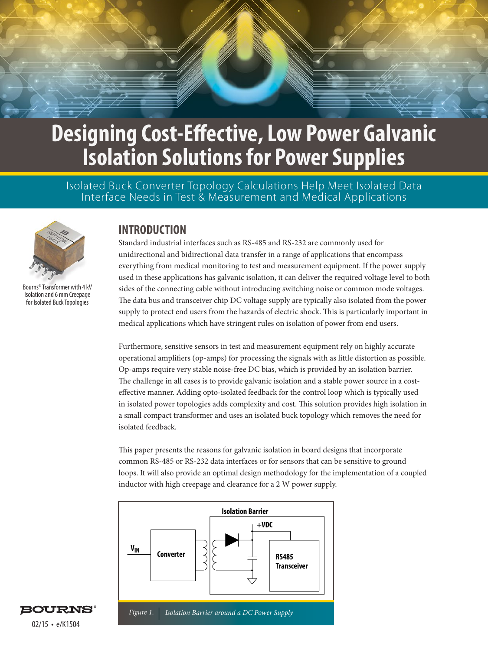Isolated Buck Converter Topology Calculations Help Meet Isolated Data Interface Needs in Test & Measurement and Medical Applications



Bourns® Transformer with 4 kV Isolation and 6 mm Creepage for Isolated Buck Topologies

## **INTRODUCTION**

Standard industrial interfaces such as RS-485 and RS-232 are commonly used for unidirectional and bidirectional data transfer in a range of applications that encompass everything from medical monitoring to test and measurement equipment. If the power supply used in these applications has galvanic isolation, it can deliver the required voltage level to both sides of the connecting cable without introducing switching noise or common mode voltages. The data bus and transceiver chip DC voltage supply are typically also isolated from the power supply to protect end users from the hazards of electric shock. This is particularly important in medical applications which have stringent rules on isolation of power from end users.

Furthermore, sensitive sensors in test and measurement equipment rely on highly accurate operational amplifiers (op-amps) for processing the signals with as little distortion as possible. Op-amps require very stable noise-free DC bias, which is provided by an isolation barrier. The challenge in all cases is to provide galvanic isolation and a stable power source in a costeffective manner. Adding opto-isolated feedback for the control loop which is typically used in isolated power topologies adds complexity and cost. This solution provides high isolation in a small compact transformer and uses an isolated buck topology which removes the need for isolated feedback.

This paper presents the reasons for galvanic isolation in board designs that incorporate common RS-485 or RS-232 data interfaces or for sensors that can be sensitive to ground loops. It will also provide an optimal design methodology for the implementation of a coupled inductor with high creepage and clearance for a 2 W power supply.



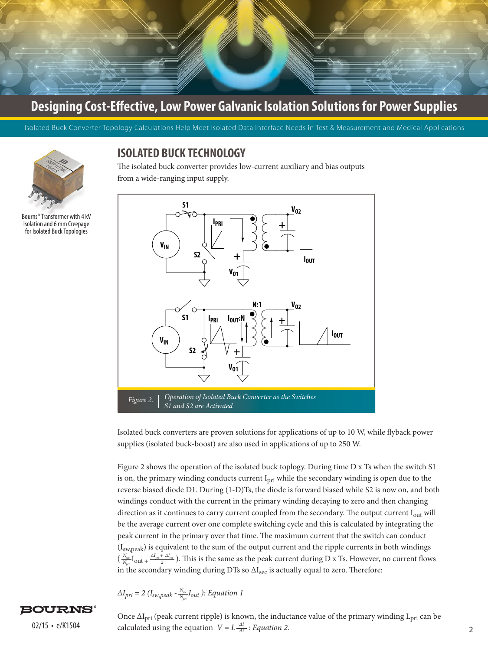

Isolated Buck Converter Topology Calculations Help Meet Isolated Data Interface Needs in Test & Measurement and Medical Applications



Bourns® Transformer with 4 kV Isolation and 6 mm Creepage for Isolated Buck Topologies

## **ISOLATED BUCK TECHNOLOGY**

The isolated buck converter provides low-current auxiliary and bias outputs from a wide-ranging input supply.



Isolated buck converters are proven solutions for applications of up to 10 W, while flyback power supplies (isolated buck-boost) are also used in applications of up to 250 W.

Figure 2 shows the operation of the isolated buck toplogy. During time D x Ts when the switch S1 is on, the primary winding conducts current I<sub>pri</sub> while the secondary winding is open due to the reverse biased diode D1. During (1-D)Ts, the diode is forward biased while S2 is now on, and both windings conduct with the current in the primary winding decaying to zero and then changing direction as it continues to carry current coupled from the secondary. The output current I<sub>out</sub> will be the average current over one complete switching cycle and this is calculated by integrating the peak current in the primary over that time. The maximum current that the switch can conduct (Isw,peak) is equivalent to the sum of the output current and the ripple currents in both windings  $(\frac{N_{\rm sec}}{N_{\rm sec}}I_{\rm out} + \frac{\Delta I_{\rm pri} + \Delta I_{\rm sec}}{2})$ . This is the same as the peak current during D x Ts. However, no current flows in the secondary winding during DTs so  $\Delta I_{\text{sec}}$  is actually equal to zero. Therefore:  $\frac{N_{sec}}{N_{pri}}$ **I**<sub>OUt</sub> +  $\frac{\Delta I_{pri}$  +  $\Delta I_{sec}}{2}$ 

$$
\Delta I_{pri} = 2 \left( I_{sw, peak} \cdot \frac{N_{sec}}{N_{pri}} I_{out} \right)
$$
: Equation 1

## **BOURNS**

 $2^{2/15} \cdot e/K1504$  calculated using the equation  $V = L \frac{\Delta I}{\Delta t}$ : *Equation 2.* Once  $\Delta I_{pri}$  (peak current ripple) is known, the inductance value of the primary winding  $L_{pri}$  can be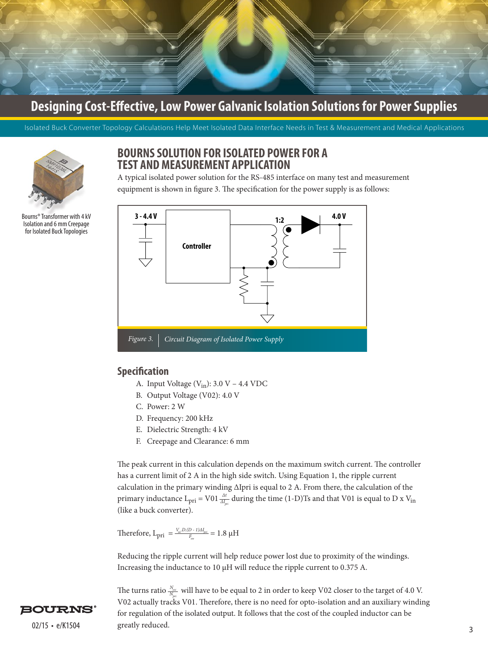Isolated Buck Converter Topology Calculations Help Meet Isolated Data Interface Needs in Test & Measurement and Medical Applications



Bourns® Transformer with 4 kV Isolation and 6 mm Creepage for Isolated Buck Topologies

## **BOURNS SOLUTION FOR ISOLATED POWER FOR A TEST AND MEASUREMENT APPLICATION**

A typical isolated power solution for the RS-485 interface on many test and measurement equipment is shown in figure 3. The specification for the power supply is as follows:



### **Specification**

- A. Input Voltage  $(V_{in})$ : 3.0 V 4.4 VDC
- B. Output Voltage (V02): 4.0 V
- C. Power: 2 W
- D. Frequency: 200 kHz
- E. Dielectric Strength: 4 kV
- F. Creepage and Clearance: 6 mm

The peak current in this calculation depends on the maximum switch current. The controller has a current limit of 2 A in the high side switch. Using Equation 1, the ripple current calculation in the primary winding ΔIpri is equal to 2 A. From there, the calculation of the primary inductance  $L_{pri} = Vol \frac{\Delta t}{\Delta I_{pri}}$  during the time (1-D)Ts and that V01 is equal to D x V<sub>in</sub> (like a buck converter).

Therefore,  $L_{\text{pri}} = \frac{V_{in} \cdot D \cdot (D - 1) \Delta I_{pri}}{F_{in}} = 1.8 \text{ }\mu\text{H}$ *Fsw*

Reducing the ripple current will help reduce power lost due to proximity of the windings. Increasing the inductance to 10 µH will reduce the ripple current to 0.375 A.

 $02/15 \cdot e/K1504$  greatly reduced. The turns ratio  $\frac{N_{\rm sec}}{N}$  will have to be equal to 2 in order to keep V02 closer to the target of 4.0 V. V02 actually tracks V01. Therefore, there is no need for opto-isolation and an auxiliary winding for regulation of the isolated output. It follows that the cost of the coupled inductor can be greatly reduced. *Npri*

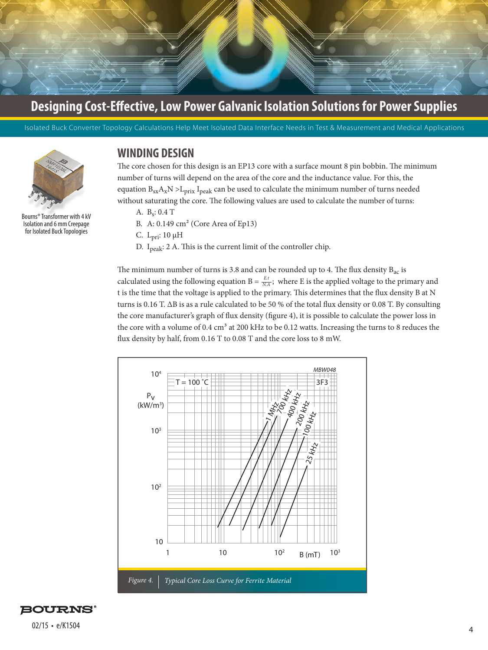

Isolated Buck Converter Topology Calculations Help Meet Isolated Data Interface Needs in Test & Measurement and Medical Applications



Bourns® Transformer with 4 kV Isolation and 6 mm Creepage for Isolated Buck Topologies

## **WINDING DESIGN**

The core chosen for this design is an EP13 core with a surface mount 8 pin bobbin. The minimum number of turns will depend on the area of the core and the inductance value. For this, the equation  $B_{sx}A_xN > L_{prix}I_{peak}$  can be used to calculate the minimum number of turns needed without saturating the core. The following values are used to calculate the number of turns:

- A. Bs: 0.4 T
- B. A: 0.149 cm² (Core Area of Ep13)
- C. Lpri: 10 µH
- D. Ipeak: 2 A. This is the current limit of the controller chip.

The minimum number of turns is 3.8 and can be rounded up to 4. The flux density  $B_{ac}$  is calculated using the following equation  $B = \frac{E \cdot t}{NA}$ ; where E is the applied voltage to the primary and t is the time that the voltage is applied to the primary. This determines that the flux density B at N turns is 0.16 T. ΔB is as a rule calculated to be 50 % of the total flux density or 0.08 T. By consulting the core manufacturer's graph of flux density (figure 4), it is possible to calculate the power loss in the core with a volume of  $0.4 \text{ cm}^3$  at 200 kHz to be 0.12 watts. Increasing the turns to 8 reduces the flux density by half, from 0.16 T to 0.08 T and the core loss to 8 mW.



**BOURNS®**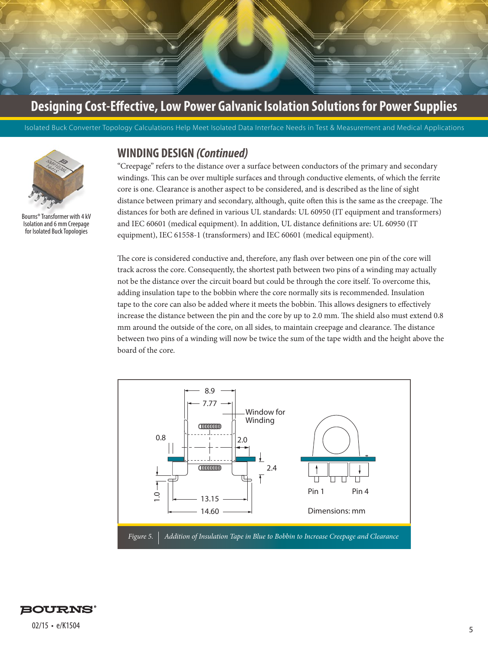Isolated Buck Converter Topology Calculations Help Meet Isolated Data Interface Needs in Test & Measurement and Medical Applications



Bourns® Transformer with 4 kV Isolation and 6 mm Creepage for Isolated Buck Topologies

### **WINDING DESIGN** *(Continued)*

"Creepage" refers to the distance over a surface between conductors of the primary and secondary windings. This can be over multiple surfaces and through conductive elements, of which the ferrite core is one. Clearance is another aspect to be considered, and is described as the line of sight distance between primary and secondary, although, quite often this is the same as the creepage. The distances for both are defined in various UL standards: UL 60950 (IT equipment and transformers) and IEC 60601 (medical equipment). In addition, UL distance definitions are: UL 60950 (IT equipment), IEC 61558-1 (transformers) and IEC 60601 (medical equipment).

The core is considered conductive and, therefore, any flash over between one pin of the core will track across the core. Consequently, the shortest path between two pins of a winding may actually not be the distance over the circuit board but could be through the core itself. To overcome this, adding insulation tape to the bobbin where the core normally sits is recommended. Insulation tape to the core can also be added where it meets the bobbin. This allows designers to effectively increase the distance between the pin and the core by up to 2.0 mm. The shield also must extend 0.8 mm around the outside of the core, on all sides, to maintain creepage and clearance. The distance between two pins of a winding will now be twice the sum of the tape width and the height above the board of the core.



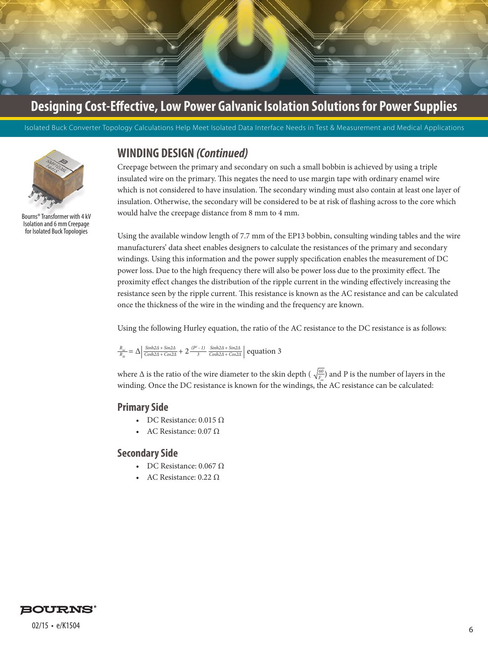

Isolated Buck Converter Topology Calculations Help Meet Isolated Data Interface Needs in Test & Measurement and Medical Applications



Bourns® Transformer with 4 kV Isolation and 6 mm Creepage for Isolated Buck Topologies

## **WINDING DESIGN** *(Continued)*

Creepage between the primary and secondary on such a small bobbin is achieved by using a triple insulated wire on the primary. This negates the need to use margin tape with ordinary enamel wire which is not considered to have insulation. The secondary winding must also contain at least one layer of insulation. Otherwise, the secondary will be considered to be at risk of flashing across to the core which would halve the creepage distance from 8 mm to 4 mm.

Using the available window length of 7.7 mm of the EP13 bobbin, consulting winding tables and the wire manufacturers' data sheet enables designers to calculate the resistances of the primary and secondary windings. Using this information and the power supply specification enables the measurement of DC power loss. Due to the high frequency there will also be power loss due to the proximity effect. The proximity effect changes the distribution of the ripple current in the winding effectively increasing the resistance seen by the ripple current. This resistance is known as the AC resistance and can be calculated once the thickness of the wire in the winding and the frequency are known.

Using the following Hurley equation, the ratio of the AC resistance to the DC resistance is as follows:

$$
\tfrac{R_{ac}}{R_{dc}}=\Delta\Big|\tfrac{Sinh2A+Sin2A}{Cosh2A+Cos2A}+2\tfrac{(P^2-1)}{3}\tfrac{Sinh2A+Sin2A}{Cosh2A+Cos2A}\Big| \text{ equation 3}
$$

where  $\Delta$  is the ratio of the wire diameter to the skin depth ( $\sqrt{\frac{60}{F_{sw}}}$ ) and P is the number of layers in the winding. Once the DC resistance is known for the windings, the AC resistance can be calculated:

### **Primary Side**

- DC Resistance:  $0.015 \Omega$
- AC Resistance:  $0.07$  Ω

### **Secondary Side**

- DC Resistance:  $0.067 \Omega$
- AC Resistance: 0.22 Ω

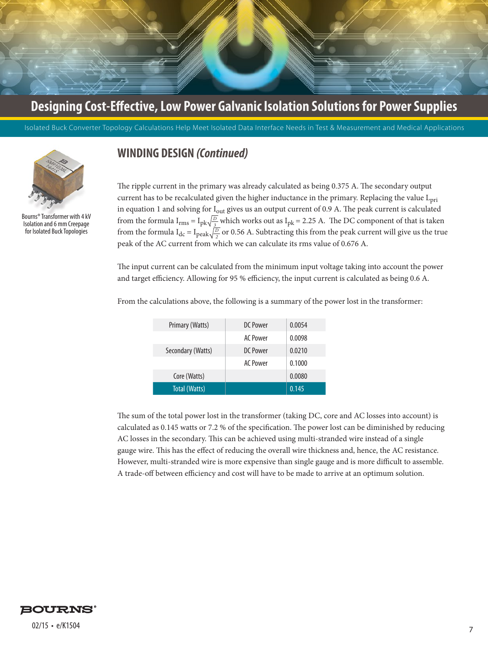

Isolated Buck Converter Topology Calculations Help Meet Isolated Data Interface Needs in Test & Measurement and Medical Applications



Bourns® Transformer with 4 kV Isolation and 6 mm Creepage for Isolated Buck Topologies

## **WINDING DESIGN** *(Continued)*

The ripple current in the primary was already calculated as being 0.375 A. The secondary output current has to be recalculated given the higher inductance in the primary. Replacing the value L<sub>pri</sub> in equation 1 and solving for I<sub>out</sub> gives us an output current of 0.9 A. The peak current is calculated from the formula  $I_{rms} = I_{pk} \sqrt{\frac{D}{3}}$  which works out as  $I_{pk} = 2.25$  A. The DC component of that is taken from the formula  $I_{dc} = I_{peak} \sqrt{\frac{D}{2}}$  or 0.56 A. Subtracting this from the peak current will give us the true peak of the AC current from which we can calculate its rms value of 0.676 A.

The input current can be calculated from the minimum input voltage taking into account the power and target efficiency. Allowing for 95 % efficiency, the input current is calculated as being 0.6 A.

| Primary (Watts)   | DC Power        | 0.0054 |
|-------------------|-----------------|--------|
|                   | AC Power        | 0.0098 |
| Secondary (Watts) | DC Power        | 0.0210 |
|                   | <b>AC Power</b> | 0.1000 |
| Core (Watts)      |                 | 0.0080 |
| Total (Watts)     |                 | 0.145  |

From the calculations above, the following is a summary of the power lost in the transformer:

The sum of the total power lost in the transformer (taking DC, core and AC losses into account) is calculated as 0.145 watts or 7.2 % of the specification. The power lost can be diminished by reducing AC losses in the secondary. This can be achieved using multi-stranded wire instead of a single gauge wire. This has the effect of reducing the overall wire thickness and, hence, the AC resistance. However, multi-stranded wire is more expensive than single gauge and is more difficult to assemble. A trade-off between efficiency and cost will have to be made to arrive at an optimum solution.